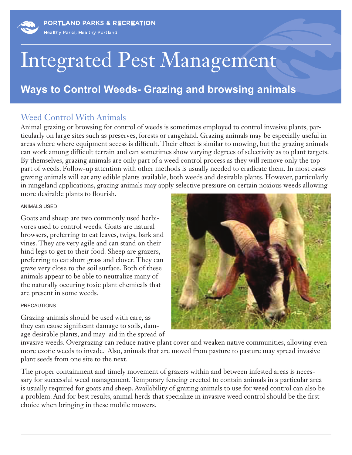# Integrated Pest Management

## **Ways to Control Weeds- Grazing and browsing animals**

### Weed Control With Animals

Animal grazing or browsing for control of weeds is sometimes employed to control invasive plants, particularly on large sites such as preserves, forests or rangeland. Grazing animals may be especially useful in areas where where equipment access is difficult. Their effect is similar to mowing, but the grazing animals can work among difficult terrain and can sometimes show varying degrees of selectivity as to plant targets. By themselves, grazing animals are only part of a weed control process as they will remove only the top part of weeds. Follow-up attention with other methods is usually needed to eradicate them. In most cases grazing animals will eat any edible plants available, both weeds and desirable plants. However, particularly in rangeland applications, grazing animals may apply selective pressure on certain noxious weeds allowing more desirable plants to flourish.

#### ANIMALS USED

Goats and sheep are two commonly used herbivores used to control weeds. Goats are natural browsers, preferring to eat leaves, twigs, bark and vines. They are very agile and can stand on their hind legs to get to their food. Sheep are grazers, preferring to eat short grass and clover. They can graze very close to the soil surface. Both of these animals appear to be able to neutralize many of the naturally occuring toxic plant chemicals that are present in some weeds.

#### PRECAUTIONS

Grazing animals should be used with care, as they can cause significant damage to soils, damage desirable plants, and may aid in the spread of



invasive weeds. Overgrazing can reduce native plant cover and weaken native communities, allowing even more exotic weeds to invade. Also, animals that are moved from pasture to pasture may spread invasive plant seeds from one site to the next.

The proper containment and timely movement of grazers within and between infested areas is necessary for successful weed management. Temporary fencing erected to contain animals in a particular area is usually required for goats and sheep. Availability of grazing animals to use for weed control can also be a problem. And for best results, animal herds that specialize in invasive weed control should be the first choice when bringing in these mobile mowers.